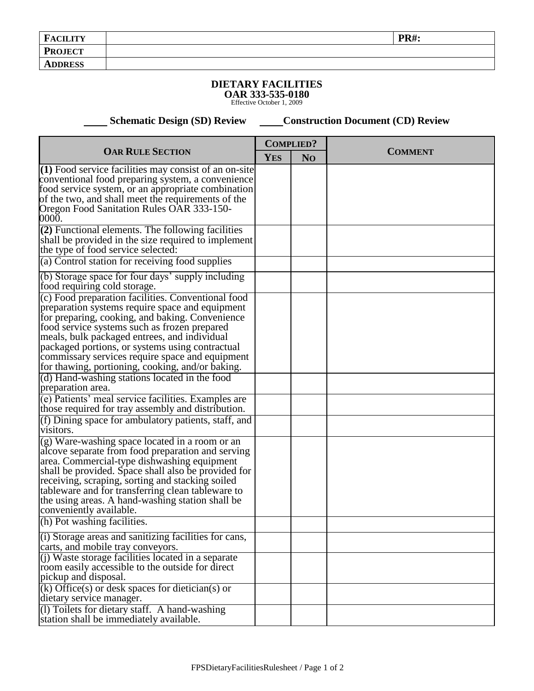## **DIETARY FACILITIES**

**OAR 333-535-0180** Effective October 1, 2009

**Schematic Design (SD) Review Construction Document (CD) Review** 

| <b>OAR RULE SECTION</b>                                                                                                                                                                                                                                                                                                                                                                                                                            | <b>COMPLIED?</b> |                |                |
|----------------------------------------------------------------------------------------------------------------------------------------------------------------------------------------------------------------------------------------------------------------------------------------------------------------------------------------------------------------------------------------------------------------------------------------------------|------------------|----------------|----------------|
|                                                                                                                                                                                                                                                                                                                                                                                                                                                    | <b>YES</b>       | N <sub>O</sub> | <b>COMMENT</b> |
| $(1)$ Food service facilities may consist of an on-site<br>conventional food preparing system, a convenience<br>food service system, or an appropriate combination<br>of the two, and shall meet the requirements of the<br>Oregon Food Sanitation Rules OAR 333-150-<br>0000.                                                                                                                                                                     |                  |                |                |
| $(2)$ Functional elements. The following facilities<br>shall be provided in the size required to implement<br>the type of food service selected:                                                                                                                                                                                                                                                                                                   |                  |                |                |
| (a) Control station for receiving food supplies<br>(b) Storage space for four days' supply including                                                                                                                                                                                                                                                                                                                                               |                  |                |                |
| food requiring cold storage.<br>(c) Food preparation facilities. Conventional food<br>preparation systems require space and equipment<br>for preparing, cooking, and baking. Convenience<br>food service systems such as frozen prepared<br>meals, bulk packaged entrees, and individual<br>packaged portions, or systems using contractual<br>commissary services require space and equipment<br>for thawing, portioning, cooking, and/or baking. |                  |                |                |
| (d) Hand-washing stations located in the food<br>preparation area.                                                                                                                                                                                                                                                                                                                                                                                 |                  |                |                |
| (e) Patients' meal service facilities. Examples are<br>those required for tray assembly and distribution.                                                                                                                                                                                                                                                                                                                                          |                  |                |                |
| (f) Dining space for ambulatory patients, staff, and<br>visitors.                                                                                                                                                                                                                                                                                                                                                                                  |                  |                |                |
| (g) Ware-washing space located in a room or an<br>alcove separate from food preparation and serving<br>area. Commercial-type dishwashing equipment<br>shall be provided. Space shall also be provided for<br>receiving, scraping, sorting and stacking soiled<br>tableware and for transferring clean tableware to<br>the using areas. A hand-washing station shall be<br>conveniently available.<br>(h) Pot washing facilities.                   |                  |                |                |
| (i) Storage areas and sanitizing facilities for cans,                                                                                                                                                                                                                                                                                                                                                                                              |                  |                |                |
| carts, and mobile tray conveyors.<br>(i) Waste storage facilities located in a separate<br>room easily accessible to the outside for direct<br>pickup and disposal.<br>$(k)$ Office(s) or desk spaces for dietician(s) or<br>dietary service manager.                                                                                                                                                                                              |                  |                |                |
| (1) Toilets for dietary staff. A hand-washing<br>station shall be immediately available.                                                                                                                                                                                                                                                                                                                                                           |                  |                |                |